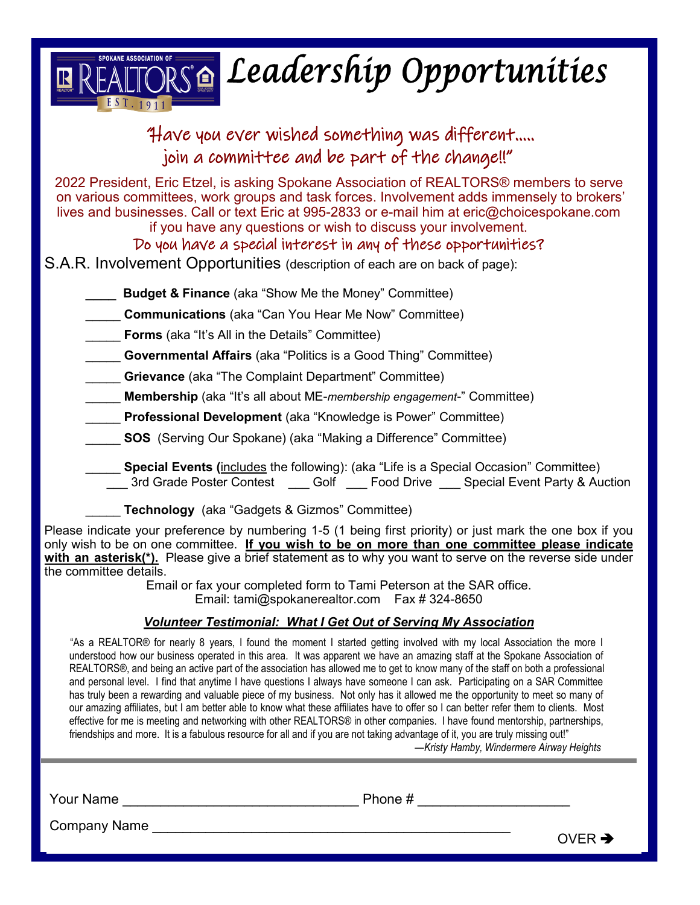

| Have you ever wished something was different                                                                                                                                                                                                                                                                                                                                                                                                                                                                       |
|--------------------------------------------------------------------------------------------------------------------------------------------------------------------------------------------------------------------------------------------------------------------------------------------------------------------------------------------------------------------------------------------------------------------------------------------------------------------------------------------------------------------|
| join a committee and be part of the change!!"                                                                                                                                                                                                                                                                                                                                                                                                                                                                      |
| 2022 President, Eric Etzel, is asking Spokane Association of REALTORS <sup>®</sup> members to serve<br>on various committees, work groups and task forces. Involvement adds immensely to brokers'<br>lives and businesses. Call or text Eric at 995-2833 or e-mail him at eric@choicespokane.com<br>if you have any questions or wish to discuss your involvement.<br>Do you have a special interest in any of these opportunities?<br>S.A.R. Involvement Opportunities (description of each are on back of page): |
| <b>Budget &amp; Finance</b> (aka "Show Me the Money" Committee)                                                                                                                                                                                                                                                                                                                                                                                                                                                    |
| <b>Communications</b> (aka "Can You Hear Me Now" Committee)                                                                                                                                                                                                                                                                                                                                                                                                                                                        |
| <b>Forms</b> (aka "It's All in the Details" Committee)                                                                                                                                                                                                                                                                                                                                                                                                                                                             |
| <b>Governmental Affairs</b> (aka "Politics is a Good Thing" Committee)                                                                                                                                                                                                                                                                                                                                                                                                                                             |
| <b>Grievance</b> (aka "The Complaint Department" Committee)                                                                                                                                                                                                                                                                                                                                                                                                                                                        |
| Membership (aka "It's all about ME-membership engagement-" Committee)                                                                                                                                                                                                                                                                                                                                                                                                                                              |
| Professional Development (aka "Knowledge is Power" Committee)                                                                                                                                                                                                                                                                                                                                                                                                                                                      |
| <b>SOS</b> (Serving Our Spokane) (aka "Making a Difference" Committee)                                                                                                                                                                                                                                                                                                                                                                                                                                             |
| Special Events (includes the following): (aka "Life is a Special Occasion" Committee)<br>___ 3rd Grade Poster Contest ____ Golf ___ Food Drive ___ Special Event Party & Auction                                                                                                                                                                                                                                                                                                                                   |
| <b>Technology</b> (aka "Gadgets & Gizmos" Committee)                                                                                                                                                                                                                                                                                                                                                                                                                                                               |
| Please indicate your preference by numbering 1-5 (1 being first priority) or just mark the one box if you<br>only wish to be on one committee. If you wish to be on more than one committee please indicate<br>with an asterisk(*). Please give a brief statement as to why you want to serve on the reverse side under<br>the committee details.                                                                                                                                                                  |
| Email or fax your completed form to Tami Peterson at the SAR office.<br>Email: tami@spokanerealtor.com  Fax # 324-8650                                                                                                                                                                                                                                                                                                                                                                                             |

# *Volunteer Testimonial: What I Get Out of Serving My Association*

"As a REALTOR® for nearly 8 years, I found the moment I started getting involved with my local Association the more I understood how our business operated in this area. It was apparent we have an amazing staff at the Spokane Association of REALTORS®, and being an active part of the association has allowed me to get to know many of the staff on both a professional and personal level. I find that anytime I have questions I always have someone I can ask. Participating on a SAR Committee has truly been a rewarding and valuable piece of my business. Not only has it allowed me the opportunity to meet so many of our amazing affiliates, but I am better able to know what these affiliates have to offer so I can better refer them to clients. Most effective for me is meeting and networking with other REALTORS® in other companies. I have found mentorship, partnerships, friendships and more. It is a fabulous resource for all and if you are not taking advantage of it, you are truly missing out!"

*—Kristy Hamby, Windermere Airway Heights*

Your Name \_\_\_\_\_\_\_\_\_\_\_\_\_\_\_\_\_\_\_\_\_\_\_\_\_\_\_\_\_\_\_ Phone # \_\_\_\_\_\_\_\_\_\_\_\_\_\_\_\_\_\_\_\_

Company Name

OVER  $\rightarrow$